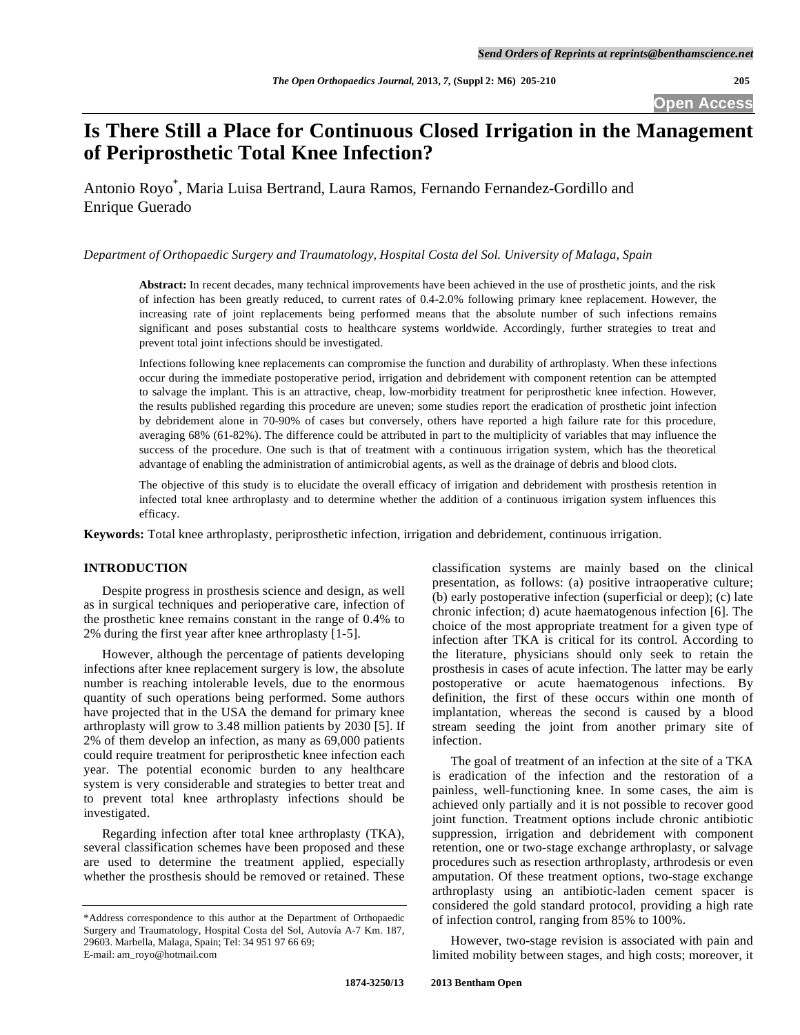# **Is There Still a Place for Continuous Closed Irrigation in the Management of Periprosthetic Total Knee Infection?**

Antonio Royo\* , Maria Luisa Bertrand, Laura Ramos, Fernando Fernandez-Gordillo and Enrique Guerado

*Department of Orthopaedic Surgery and Traumatology, Hospital Costa del Sol. University of Malaga, Spain* 

**Abstract:** In recent decades, many technical improvements have been achieved in the use of prosthetic joints, and the risk of infection has been greatly reduced, to current rates of 0.4-2.0% following primary knee replacement. However, the increasing rate of joint replacements being performed means that the absolute number of such infections remains significant and poses substantial costs to healthcare systems worldwide. Accordingly, further strategies to treat and prevent total joint infections should be investigated.

Infections following knee replacements can compromise the function and durability of arthroplasty. When these infections occur during the immediate postoperative period, irrigation and debridement with component retention can be attempted to salvage the implant. This is an attractive, cheap, low-morbidity treatment for periprosthetic knee infection. However, the results published regarding this procedure are uneven; some studies report the eradication of prosthetic joint infection by debridement alone in 70-90% of cases but conversely, others have reported a high failure rate for this procedure, averaging 68% (61-82%). The difference could be attributed in part to the multiplicity of variables that may influence the success of the procedure. One such is that of treatment with a continuous irrigation system, which has the theoretical advantage of enabling the administration of antimicrobial agents, as well as the drainage of debris and blood clots.

The objective of this study is to elucidate the overall efficacy of irrigation and debridement with prosthesis retention in infected total knee arthroplasty and to determine whether the addition of a continuous irrigation system influences this efficacy.

**Keywords:** Total knee arthroplasty, periprosthetic infection, irrigation and debridement, continuous irrigation.

# **INTRODUCTION**

 Despite progress in prosthesis science and design, as well as in surgical techniques and perioperative care, infection of the prosthetic knee remains constant in the range of 0.4% to 2% during the first year after knee arthroplasty [1-5].

 However, although the percentage of patients developing infections after knee replacement surgery is low, the absolute number is reaching intolerable levels, due to the enormous quantity of such operations being performed. Some authors have projected that in the USA the demand for primary knee arthroplasty will grow to 3.48 million patients by 2030 [5]. If 2% of them develop an infection, as many as 69,000 patients could require treatment for periprosthetic knee infection each year. The potential economic burden to any healthcare system is very considerable and strategies to better treat and to prevent total knee arthroplasty infections should be investigated.

 Regarding infection after total knee arthroplasty (TKA), several classification schemes have been proposed and these are used to determine the treatment applied, especially whether the prosthesis should be removed or retained. These

classification systems are mainly based on the clinical presentation, as follows: (a) positive intraoperative culture; (b) early postoperative infection (superficial or deep); (c) late chronic infection; d) acute haematogenous infection [6]. The choice of the most appropriate treatment for a given type of infection after TKA is critical for its control. According to the literature, physicians should only seek to retain the prosthesis in cases of acute infection. The latter may be early postoperative or acute haematogenous infections. By definition, the first of these occurs within one month of implantation, whereas the second is caused by a blood stream seeding the joint from another primary site of infection.

 The goal of treatment of an infection at the site of a TKA is eradication of the infection and the restoration of a painless, well-functioning knee. In some cases, the aim is achieved only partially and it is not possible to recover good joint function. Treatment options include chronic antibiotic suppression, irrigation and debridement with component retention, one or two-stage exchange arthroplasty, or salvage procedures such as resection arthroplasty, arthrodesis or even amputation. Of these treatment options, two-stage exchange arthroplasty using an antibiotic-laden cement spacer is considered the gold standard protocol, providing a high rate of infection control, ranging from 85% to 100%.

 However, two-stage revision is associated with pain and limited mobility between stages, and high costs; moreover, it

<sup>\*</sup>Address correspondence to this author at the Department of Orthopaedic Surgery and Traumatology, Hospital Costa del Sol, Autovía A-7 Km. 187, 29603. Marbella, Malaga, Spain; Tel: 34 951 97 66 69; E-mail: am\_royo@hotmail.com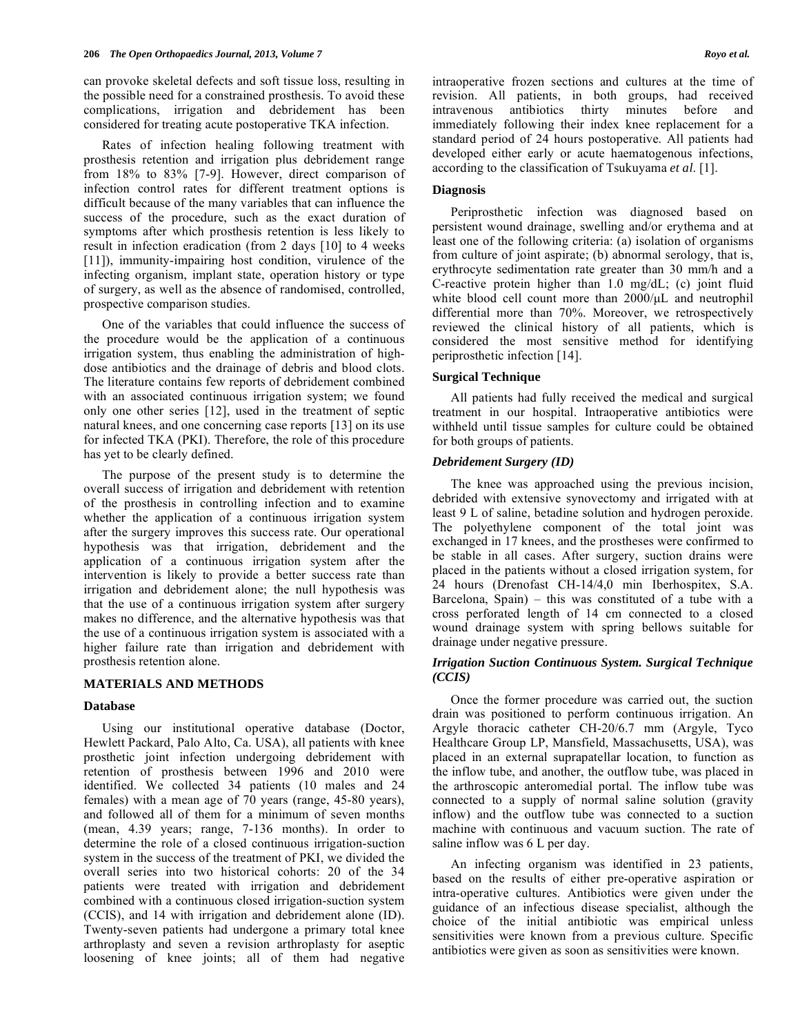can provoke skeletal defects and soft tissue loss, resulting in the possible need for a constrained prosthesis. To avoid these complications, irrigation and debridement has been considered for treating acute postoperative TKA infection.

 Rates of infection healing following treatment with prosthesis retention and irrigation plus debridement range from 18% to 83% [7-9]. However, direct comparison of infection control rates for different treatment options is difficult because of the many variables that can influence the success of the procedure, such as the exact duration of symptoms after which prosthesis retention is less likely to result in infection eradication (from 2 days [10] to 4 weeks [11]), immunity-impairing host condition, virulence of the infecting organism, implant state, operation history or type of surgery, as well as the absence of randomised, controlled, prospective comparison studies.

 One of the variables that could influence the success of the procedure would be the application of a continuous irrigation system, thus enabling the administration of highdose antibiotics and the drainage of debris and blood clots. The literature contains few reports of debridement combined with an associated continuous irrigation system; we found only one other series [12], used in the treatment of septic natural knees, and one concerning case reports [13] on its use for infected TKA (PKI). Therefore, the role of this procedure has yet to be clearly defined.

 The purpose of the present study is to determine the overall success of irrigation and debridement with retention of the prosthesis in controlling infection and to examine whether the application of a continuous irrigation system after the surgery improves this success rate. Our operational hypothesis was that irrigation, debridement and the application of a continuous irrigation system after the intervention is likely to provide a better success rate than irrigation and debridement alone; the null hypothesis was that the use of a continuous irrigation system after surgery makes no difference, and the alternative hypothesis was that the use of a continuous irrigation system is associated with a higher failure rate than irrigation and debridement with prosthesis retention alone.

# **MATERIALS AND METHODS**

#### **Database**

 Using our institutional operative database (Doctor, Hewlett Packard, Palo Alto, Ca. USA), all patients with knee prosthetic joint infection undergoing debridement with retention of prosthesis between 1996 and 2010 were identified. We collected 34 patients (10 males and 24 females) with a mean age of 70 years (range, 45-80 years), and followed all of them for a minimum of seven months (mean, 4.39 years; range, 7-136 months). In order to determine the role of a closed continuous irrigation-suction system in the success of the treatment of PKI, we divided the overall series into two historical cohorts: 20 of the 34 patients were treated with irrigation and debridement combined with a continuous closed irrigation-suction system (CCIS), and 14 with irrigation and debridement alone (ID). Twenty-seven patients had undergone a primary total knee arthroplasty and seven a revision arthroplasty for aseptic loosening of knee joints; all of them had negative

intraoperative frozen sections and cultures at the time of revision. All patients, in both groups, had received intravenous antibiotics thirty minutes before and immediately following their index knee replacement for a standard period of 24 hours postoperative. All patients had developed either early or acute haematogenous infections, according to the classification of Tsukuyama *et al*. [1].

## **Diagnosis**

 Periprosthetic infection was diagnosed based on persistent wound drainage, swelling and/or erythema and at least one of the following criteria: (a) isolation of organisms from culture of joint aspirate; (b) abnormal serology, that is, erythrocyte sedimentation rate greater than 30 mm/h and a C-reactive protein higher than 1.0 mg/dL; (c) joint fluid white blood cell count more than 2000/μL and neutrophil differential more than 70%. Moreover, we retrospectively reviewed the clinical history of all patients, which is considered the most sensitive method for identifying periprosthetic infection [14].

#### **Surgical Technique**

 All patients had fully received the medical and surgical treatment in our hospital. Intraoperative antibiotics were withheld until tissue samples for culture could be obtained for both groups of patients.

#### *Debridement Surgery (ID)*

 The knee was approached using the previous incision, debrided with extensive synovectomy and irrigated with at least 9 L of saline, betadine solution and hydrogen peroxide. The polyethylene component of the total joint was exchanged in 17 knees, and the prostheses were confirmed to be stable in all cases. After surgery, suction drains were placed in the patients without a closed irrigation system, for 24 hours (Drenofast CH-14/4,0 min Iberhospitex, S.A. Barcelona, Spain) – this was constituted of a tube with a cross perforated length of 14 cm connected to a closed wound drainage system with spring bellows suitable for drainage under negative pressure.

## *Irrigation Suction Continuous System. Surgical Technique (CCIS)*

 Once the former procedure was carried out, the suction drain was positioned to perform continuous irrigation. An Argyle thoracic catheter CH-20/6.7 mm (Argyle, Tyco Healthcare Group LP, Mansfield, Massachusetts, USA), was placed in an external suprapatellar location, to function as the inflow tube, and another, the outflow tube, was placed in the arthroscopic anteromedial portal. The inflow tube was connected to a supply of normal saline solution (gravity inflow) and the outflow tube was connected to a suction machine with continuous and vacuum suction. The rate of saline inflow was 6 L per day.

 An infecting organism was identified in 23 patients, based on the results of either pre-operative aspiration or intra-operative cultures. Antibiotics were given under the guidance of an infectious disease specialist, although the choice of the initial antibiotic was empirical unless sensitivities were known from a previous culture. Specific antibiotics were given as soon as sensitivities were known.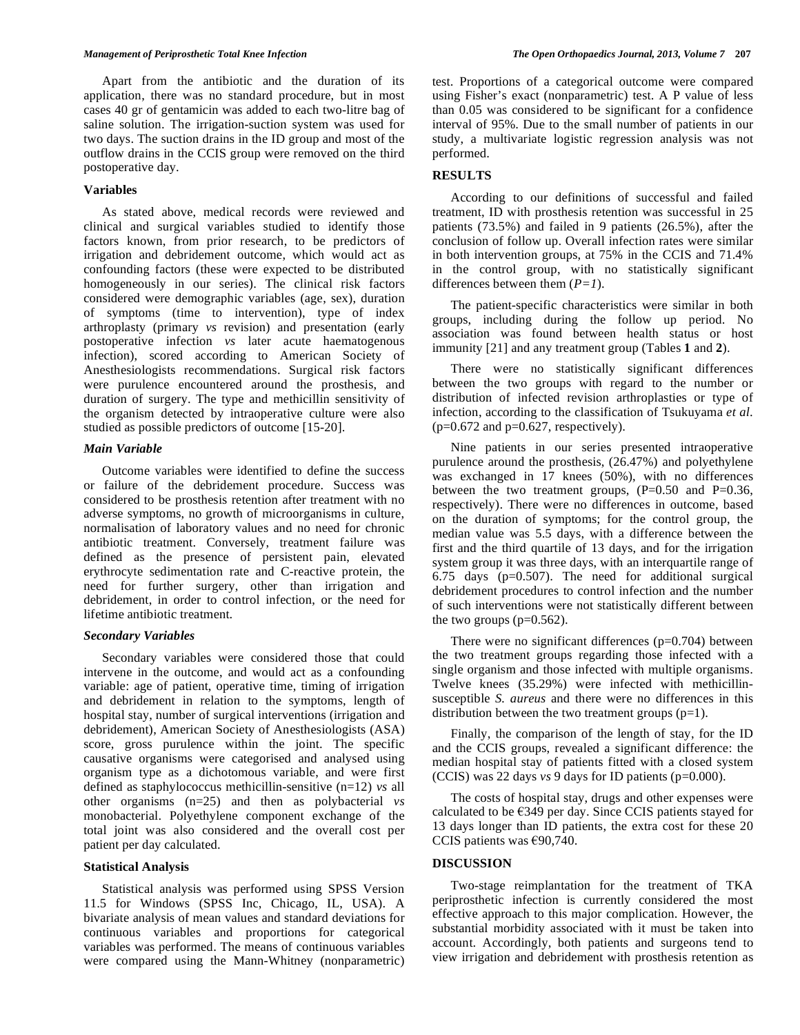Apart from the antibiotic and the duration of its application, there was no standard procedure, but in most cases 40 gr of gentamicin was added to each two-litre bag of saline solution. The irrigation-suction system was used for two days. The suction drains in the ID group and most of the outflow drains in the CCIS group were removed on the third postoperative day.

#### **Variables**

 As stated above, medical records were reviewed and clinical and surgical variables studied to identify those factors known, from prior research, to be predictors of irrigation and debridement outcome, which would act as confounding factors (these were expected to be distributed homogeneously in our series). The clinical risk factors considered were demographic variables (age, sex), duration of symptoms (time to intervention), type of index arthroplasty (primary *vs* revision) and presentation (early postoperative infection *vs* later acute haematogenous infection), scored according to American Society of Anesthesiologists recommendations. Surgical risk factors were purulence encountered around the prosthesis, and duration of surgery. The type and methicillin sensitivity of the organism detected by intraoperative culture were also studied as possible predictors of outcome [15-20].

#### *Main Variable*

 Outcome variables were identified to define the success or failure of the debridement procedure. Success was considered to be prosthesis retention after treatment with no adverse symptoms, no growth of microorganisms in culture, normalisation of laboratory values and no need for chronic antibiotic treatment. Conversely, treatment failure was defined as the presence of persistent pain, elevated erythrocyte sedimentation rate and C-reactive protein, the need for further surgery, other than irrigation and debridement, in order to control infection, or the need for lifetime antibiotic treatment.

#### *Secondary Variables*

 Secondary variables were considered those that could intervene in the outcome, and would act as a confounding variable: age of patient, operative time, timing of irrigation and debridement in relation to the symptoms, length of hospital stay, number of surgical interventions (irrigation and debridement), American Society of Anesthesiologists (ASA) score, gross purulence within the joint. The specific causative organisms were categorised and analysed using organism type as a dichotomous variable, and were first defined as staphylococcus methicillin-sensitive (n=12) *vs* all other organisms (n=25) and then as polybacterial *vs* monobacterial. Polyethylene component exchange of the total joint was also considered and the overall cost per patient per day calculated.

## **Statistical Analysis**

 Statistical analysis was performed using SPSS Version 11.5 for Windows (SPSS Inc, Chicago, IL, USA). A bivariate analysis of mean values and standard deviations for continuous variables and proportions for categorical variables was performed. The means of continuous variables were compared using the Mann-Whitney (nonparametric)

test. Proportions of a categorical outcome were compared using Fisher's exact (nonparametric) test. A P value of less than 0.05 was considered to be significant for a confidence interval of 95%. Due to the small number of patients in our study, a multivariate logistic regression analysis was not performed.

#### **RESULTS**

 According to our definitions of successful and failed treatment, ID with prosthesis retention was successful in 25 patients (73.5%) and failed in 9 patients (26.5%), after the conclusion of follow up. Overall infection rates were similar in both intervention groups, at 75% in the CCIS and 71.4% in the control group, with no statistically significant differences between them (*P=1*).

 The patient-specific characteristics were similar in both groups, including during the follow up period. No association was found between health status or host immunity [21] and any treatment group (Tables **1** and **2**).

 There were no statistically significant differences between the two groups with regard to the number or distribution of infected revision arthroplasties or type of infection, according to the classification of Tsukuyama *et al*.  $(p=0.672$  and  $p=0.627$ , respectively).

 Nine patients in our series presented intraoperative purulence around the prosthesis, (26.47%) and polyethylene was exchanged in 17 knees (50%), with no differences between the two treatment groups, (P=0.50 and P=0.36, respectively). There were no differences in outcome, based on the duration of symptoms; for the control group, the median value was 5.5 days, with a difference between the first and the third quartile of 13 days, and for the irrigation system group it was three days, with an interquartile range of 6.75 days (p=0.507). The need for additional surgical debridement procedures to control infection and the number of such interventions were not statistically different between the two groups  $(p=0.562)$ .

There were no significant differences  $(p=0.704)$  between the two treatment groups regarding those infected with a single organism and those infected with multiple organisms. Twelve knees (35.29%) were infected with methicillinsusceptible *S. aureus* and there were no differences in this distribution between the two treatment groups  $(p=1)$ .

 Finally, the comparison of the length of stay, for the ID and the CCIS groups, revealed a significant difference: the median hospital stay of patients fitted with a closed system (CCIS) was 22 days *vs* 9 days for ID patients (p=0.000).

 The costs of hospital stay, drugs and other expenses were calculated to be  $\epsilon$ 349 per day. Since CCIS patients stayed for 13 days longer than ID patients, the extra cost for these 20 CCIS patients was  $€90,740$ .

#### **DISCUSSION**

 Two-stage reimplantation for the treatment of TKA periprosthetic infection is currently considered the most effective approach to this major complication. However, the substantial morbidity associated with it must be taken into account. Accordingly, both patients and surgeons tend to view irrigation and debridement with prosthesis retention as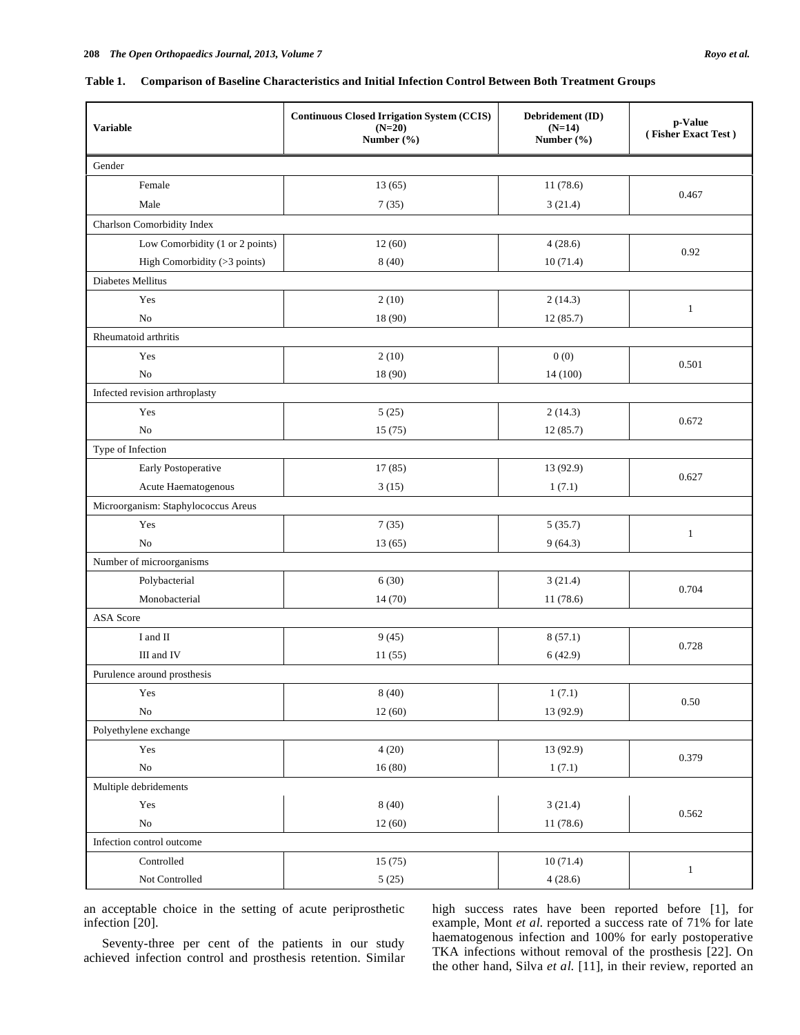| Comparison of Baseline Characteristics and Initial Infection Control Between Both Treatment Groups<br>Table 1. |
|----------------------------------------------------------------------------------------------------------------|
|----------------------------------------------------------------------------------------------------------------|

| <b>Variable</b>                     | <b>Continuous Closed Irrigation System (CCIS)</b><br>$(N=20)$<br>Number (%) | Debridement (ID)<br>$(N=14)$<br>Number $(\% )$ | p-Value<br>(Fisher Exact Test) |  |  |  |
|-------------------------------------|-----------------------------------------------------------------------------|------------------------------------------------|--------------------------------|--|--|--|
| Gender                              |                                                                             |                                                |                                |  |  |  |
| Female                              | 13(65)                                                                      | 11(78.6)                                       |                                |  |  |  |
| Male                                | 7(35)                                                                       | 3(21.4)                                        | 0.467                          |  |  |  |
| Charlson Comorbidity Index          |                                                                             |                                                |                                |  |  |  |
| Low Comorbidity (1 or 2 points)     | 12(60)                                                                      | 4(28.6)                                        |                                |  |  |  |
| High Comorbidity (>3 points)        | 8(40)                                                                       | 10(71.4)                                       | 0.92                           |  |  |  |
| Diabetes Mellitus                   |                                                                             |                                                |                                |  |  |  |
| Yes                                 | 2(10)                                                                       | 2(14.3)                                        |                                |  |  |  |
| N <sub>0</sub>                      | 18 (90)                                                                     | 12(85.7)                                       | $\mathbf{1}$                   |  |  |  |
| Rheumatoid arthritis                |                                                                             |                                                |                                |  |  |  |
| Yes                                 | 2(10)                                                                       | 0(0)                                           |                                |  |  |  |
| N <sub>0</sub>                      | 18 (90)                                                                     | 14 (100)                                       | 0.501                          |  |  |  |
| Infected revision arthroplasty      |                                                                             |                                                |                                |  |  |  |
| Yes                                 | 5(25)                                                                       | 2(14.3)                                        | 0.672                          |  |  |  |
| N <sub>0</sub>                      | 15(75)                                                                      | 12(85.7)                                       |                                |  |  |  |
| Type of Infection                   |                                                                             |                                                |                                |  |  |  |
| Early Postoperative                 | 17(85)                                                                      | 13 (92.9)                                      |                                |  |  |  |
| Acute Haematogenous                 | 3(15)                                                                       | 1(7.1)                                         | 0.627                          |  |  |  |
| Microorganism: Staphylococcus Areus |                                                                             |                                                |                                |  |  |  |
| Yes                                 | 7(35)                                                                       | 5(35.7)                                        | $\mathbf{1}$                   |  |  |  |
| N <sub>0</sub>                      | 13(65)                                                                      | 9(64.3)                                        |                                |  |  |  |
| Number of microorganisms            |                                                                             |                                                |                                |  |  |  |
| Polybacterial                       | 6(30)                                                                       | 3(21.4)                                        | 0.704                          |  |  |  |
| Monobacterial                       | 14(70)                                                                      | 11(78.6)                                       |                                |  |  |  |
| ASA Score                           |                                                                             |                                                |                                |  |  |  |
| I and II                            | 9(45)                                                                       | 8(57.1)                                        |                                |  |  |  |
| III and IV                          | 11(55)                                                                      | 6(42.9)                                        | 0.728                          |  |  |  |
| Purulence around prosthesis         |                                                                             |                                                |                                |  |  |  |
| Yes                                 | 8(40)                                                                       | 1(7.1)                                         | 0.50                           |  |  |  |
| $\rm No$                            | 12(60)                                                                      | 13 (92.9)                                      |                                |  |  |  |
| Polyethylene exchange               |                                                                             |                                                |                                |  |  |  |
| Yes                                 | 4(20)                                                                       | 13 (92.9)                                      | 0.379                          |  |  |  |
| ${\bf No}$                          | 16(80)                                                                      | 1(7.1)                                         |                                |  |  |  |
| Multiple debridements               |                                                                             |                                                |                                |  |  |  |
| Yes                                 | 8(40)                                                                       | 3(21.4)                                        | 0.562                          |  |  |  |
| ${\rm No}$                          | 12(60)                                                                      | 11 (78.6)                                      |                                |  |  |  |
| Infection control outcome           |                                                                             |                                                |                                |  |  |  |
| Controlled                          | 15(75)                                                                      | 10(71.4)                                       | $\mathbf{1}$                   |  |  |  |
| Not Controlled                      | 5(25)                                                                       | 4(28.6)                                        |                                |  |  |  |

an acceptable choice in the setting of acute periprosthetic infection [20].

 Seventy-three per cent of the patients in our study achieved infection control and prosthesis retention. Similar high success rates have been reported before [1], for example, Mont *et al*. reported a success rate of 71% for late haematogenous infection and 100% for early postoperative TKA infections without removal of the prosthesis [22]. On the other hand, Silva *et al*. [11], in their review, reported an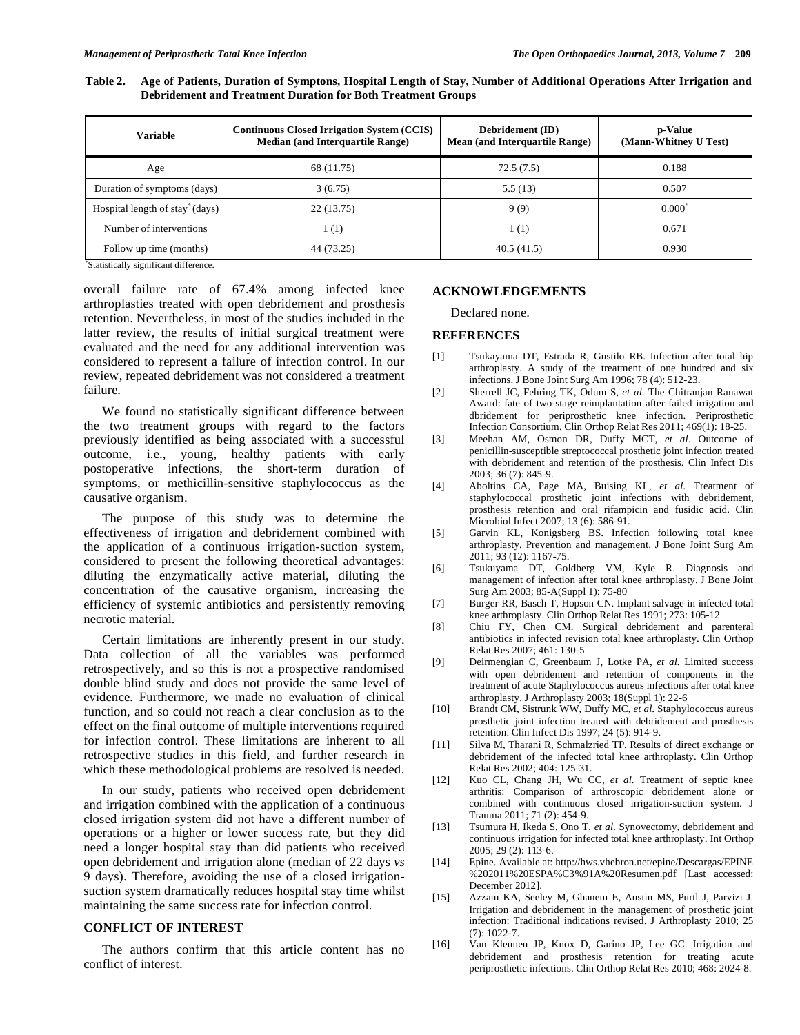| Table 2. Age of Patients, Duration of Symptons, Hospital Length of Stay, Number of Additional Operations After Irrigation and |
|-------------------------------------------------------------------------------------------------------------------------------|
| <b>Debridement and Treatment Duration for Both Treatment Groups</b>                                                           |
|                                                                                                                               |

| Variable                                    | <b>Continuous Closed Irrigation System (CCIS)</b><br><b>Median (and Interquartile Range)</b> | Debridement (ID)<br><b>Mean (and Interquartile Range)</b> | p-Value<br>(Mann-Whitney U Test) |
|---------------------------------------------|----------------------------------------------------------------------------------------------|-----------------------------------------------------------|----------------------------------|
| Age                                         | 68 (11.75)                                                                                   | 72.5(7.5)                                                 | 0.188                            |
| Duration of symptoms (days)                 | 3(6.75)                                                                                      | 5.5(13)                                                   | 0.507                            |
| Hospital length of stay <sup>*</sup> (days) | 22(13.75)                                                                                    | 9(9)                                                      | $0.000^*$                        |
| Number of interventions                     | 1 (1)                                                                                        | 1(1)                                                      | 0.671                            |
| Follow up time (months)<br>                 | 44 (73.25)                                                                                   | 40.5(41.5)                                                | 0.930                            |

\* Statistically significant difference.

overall failure rate of 67.4% among infected knee arthroplasties treated with open debridement and prosthesis retention. Nevertheless, in most of the studies included in the latter review, the results of initial surgical treatment were evaluated and the need for any additional intervention was considered to represent a failure of infection control. In our review, repeated debridement was not considered a treatment failure.

 We found no statistically significant difference between the two treatment groups with regard to the factors previously identified as being associated with a successful outcome, i.e., young, healthy patients with early postoperative infections, the short-term duration of symptoms, or methicillin-sensitive staphylococcus as the causative organism.

 The purpose of this study was to determine the effectiveness of irrigation and debridement combined with the application of a continuous irrigation-suction system, considered to present the following theoretical advantages: diluting the enzymatically active material, diluting the concentration of the causative organism, increasing the efficiency of systemic antibiotics and persistently removing necrotic material.

 Certain limitations are inherently present in our study. Data collection of all the variables was performed retrospectively, and so this is not a prospective randomised double blind study and does not provide the same level of evidence. Furthermore, we made no evaluation of clinical function, and so could not reach a clear conclusion as to the effect on the final outcome of multiple interventions required for infection control. These limitations are inherent to all retrospective studies in this field, and further research in which these methodological problems are resolved is needed.

 In our study, patients who received open debridement and irrigation combined with the application of a continuous closed irrigation system did not have a different number of operations or a higher or lower success rate, but they did need a longer hospital stay than did patients who received open debridement and irrigation alone (median of 22 days *vs* 9 days). Therefore, avoiding the use of a closed irrigationsuction system dramatically reduces hospital stay time whilst maintaining the same success rate for infection control.

# **CONFLICT OF INTEREST**

 The authors confirm that this article content has no conflict of interest.

#### **ACKNOWLEDGEMENTS**

Declared none.

#### **REFERENCES**

- [1] Tsukayama DT, Estrada R, Gustilo RB. Infection after total hip arthroplasty. A study of the treatment of one hundred and six infections. J Bone Joint Surg Am 1996; 78 (4): 512-23.
- [2] Sherrell JC, Fehring TK, Odum S, *et al*. The Chitranjan Ranawat Award: fate of two-stage reimplantation after failed irrigation and dbridement for periprosthetic knee infection. Periprosthetic Infection Consortium. Clin Orthop Relat Res 2011; 469(1): 18-25.
- [3] Meehan AM, Osmon DR, Duffy MCT, *et al*. Outcome of penicillin-susceptible streptococcal prosthetic joint infection treated with debridement and retention of the prosthesis. Clin Infect Dis 2003; 36 (7): 845-9.
- [4] Aboltins CA, Page MA, Buising KL, *et al*. Treatment of staphylococcal prosthetic joint infections with debridement, prosthesis retention and oral rifampicin and fusidic acid. Clin Microbiol Infect 2007; 13 (6): 586-91.
- [5] Garvin KL, Konigsberg BS. Infection following total knee arthroplasty. Prevention and management. J Bone Joint Surg Am 2011; 93 (12): 1167-75.
- [6] Tsukuyama DT, Goldberg VM, Kyle R. Diagnosis and management of infection after total knee arthroplasty. J Bone Joint Surg Am 2003; 85-A(Suppl 1): 75-80
- [7] Burger RR, Basch T, Hopson CN. Implant salvage in infected total knee arthroplasty. Clin Orthop Relat Res 1991; 273: 105-12
- [8] Chiu FY, Chen CM. Surgical debridement and parenteral antibiotics in infected revision total knee arthroplasty. Clin Orthop Relat Res 2007; 461: 130-5
- [9] Deirmengian C, Greenbaum J, Lotke PA, *et al*. Limited success with open debridement and retention of components in the treatment of acute Staphylococcus aureus infections after total knee arthroplasty. J Arthroplasty 2003; 18(Suppl 1): 22-6
- [10] Brandt CM, Sistrunk WW, Duffy MC, *et al*. Staphylococcus aureus prosthetic joint infection treated with debridement and prosthesis retention. Clin Infect Dis 1997; 24 (5): 914-9.
- [11] Silva M, Tharani R, Schmalzried TP. Results of direct exchange or debridement of the infected total knee arthroplasty. Clin Orthop Relat Res 2002; 404: 125-31.
- [12] Kuo CL, Chang JH, Wu CC, *et al*. Treatment of septic knee arthritis: Comparison of arthroscopic debridement alone or combined with continuous closed irrigation-suction system. J Trauma 2011; 71 (2): 454-9.
- [13] Tsumura H, Ikeda S, Ono T, *et al*. Synovectomy, debridement and continuous irrigation for infected total knee arthroplasty. Int Orthop 2005; 29 (2): 113-6.
- [14] Epine. Available at: http://hws.vhebron.net/epine/Descargas/EPINE %202011%20ESPA%C3%91A%20Resumen.pdf [Last accessed: December 2012].
- [15] Azzam KA, Seeley M, Ghanem E, Austin MS, Purtl J, Parvizi J. Irrigation and debridement in the management of prosthetic joint infection: Traditional indications revised. J Arthroplasty 2010; 25  $(7)$ : 1022-7
- [16] Van Kleunen JP, Knox D, Garino JP, Lee GC. Irrigation and debridement and prosthesis retention for treating acute periprosthetic infections. Clin Orthop Relat Res 2010; 468: 2024-8.